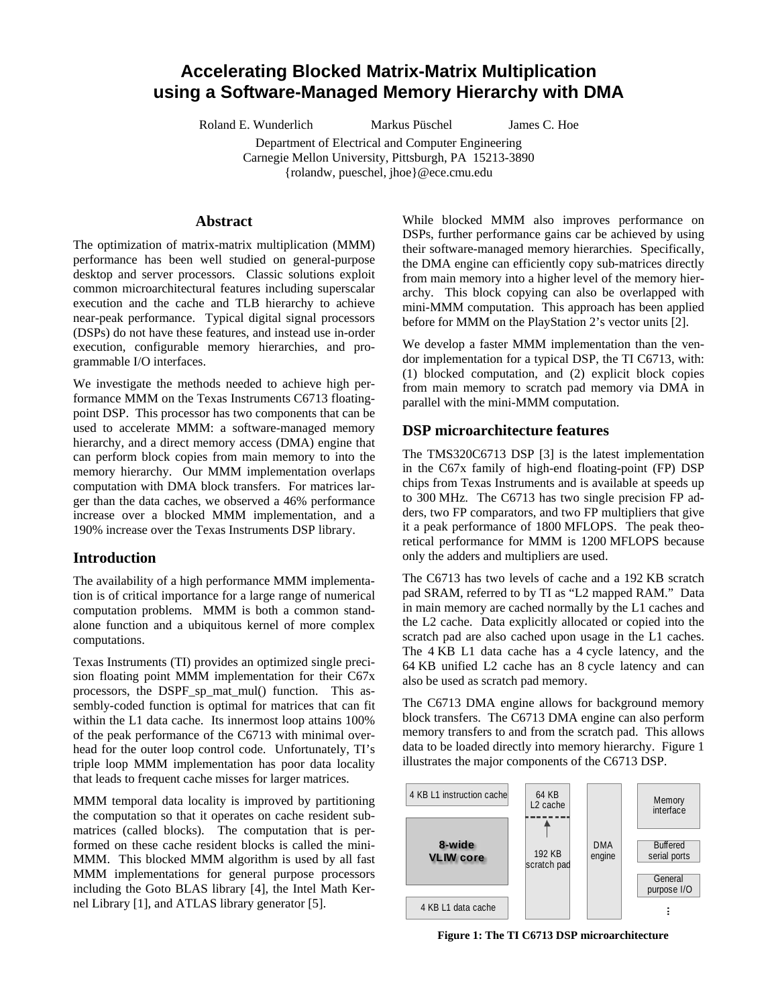# **Accelerating Blocked Matrix-Matrix Multiplication using a Software-Managed Memory Hierarchy with DMA**

Roland E. Wunderlich Markus Püschel James C. Hoe

Department of Electrical and Computer Engineering Carnegie Mellon University, Pittsburgh, PA 15213-3890

{rolandw, pueschel, jhoe}@ece.cmu.edu

#### **Abstract**

The optimization of matrix-matrix multiplication (MMM) performance has been well studied on general-purpose desktop and server processors. Classic solutions exploit common microarchitectural features including superscalar execution and the cache and TLB hierarchy to achieve near-peak performance. Typical digital signal processors (DSPs) do not have these features, and instead use in-order execution, configurable memory hierarchies, and programmable I/O interfaces.

We investigate the methods needed to achieve high performance MMM on the Texas Instruments C6713 floatingpoint DSP. This processor has two components that can be used to accelerate MMM: a software-managed memory hierarchy, and a direct memory access (DMA) engine that can perform block copies from main memory to into the memory hierarchy. Our MMM implementation overlaps computation with DMA block transfers. For matrices larger than the data caches, we observed a 46% performance increase over a blocked MMM implementation, and a 190% increase over the Texas Instruments DSP library.

## **Introduction**

The availability of a high performance MMM implementation is of critical importance for a large range of numerical computation problems. MMM is both a common standalone function and a ubiquitous kernel of more complex computations.

Texas Instruments (TI) provides an optimized single precision floating point MMM implementation for their C67x processors, the DSPF\_sp\_mat\_mul() function. This assembly-coded function is optimal for matrices that can fit within the L1 data cache. Its innermost loop attains 100% of the peak performance of the C6713 with minimal overhead for the outer loop control code. Unfortunately, TI's triple loop MMM implementation has poor data locality that leads to frequent cache misses for larger matrices.

MMM temporal data locality is improved by partitioning the computation so that it operates on cache resident submatrices (called blocks). The computation that is performed on these cache resident blocks is called the mini-MMM. This blocked MMM algorithm is used by all fast MMM implementations for general purpose processors including the Goto BLAS library [4], the Intel Math Kernel Library [1], and ATLAS library generator [5].

While blocked MMM also improves performance on DSPs, further performance gains car be achieved by using their software-managed memory hierarchies. Specifically, the DMA engine can efficiently copy sub-matrices directly from main memory into a higher level of the memory hierarchy. This block copying can also be overlapped with mini-MMM computation. This approach has been applied before for MMM on the PlayStation 2's vector units [2].

We develop a faster MMM implementation than the vendor implementation for a typical DSP, the TI C6713, with: (1) blocked computation, and (2) explicit block copies from main memory to scratch pad memory via DMA in parallel with the mini-MMM computation.

## **DSP microarchitecture features**

The TMS320C6713 DSP [3] is the latest implementation in the C67x family of high-end floating-point (FP) DSP chips from Texas Instruments and is available at speeds up to 300 MHz. The C6713 has two single precision FP adders, two FP comparators, and two FP multipliers that give it a peak performance of 1800 MFLOPS. The peak theoretical performance for MMM is 1200 MFLOPS because only the adders and multipliers are used.

The C6713 has two levels of cache and a 192 KB scratch pad SRAM, referred to by TI as "L2 mapped RAM." Data in main memory are cached normally by the L1 caches and the L2 cache. Data explicitly allocated or copied into the scratch pad are also cached upon usage in the L1 caches. The 4 KB L1 data cache has a 4 cycle latency, and the 64 KB unified L2 cache has an 8 cycle latency and can also be used as scratch pad memory.

The C6713 DMA engine allows for background memory block transfers. The C6713 DMA engine can also perform memory transfers to and from the scratch pad. This allows data to be loaded directly into memory hierarchy. Figure 1 illustrates the major components of the C6713 DSP.



**Figure 1: The TI C6713 DSP microarchitecture**